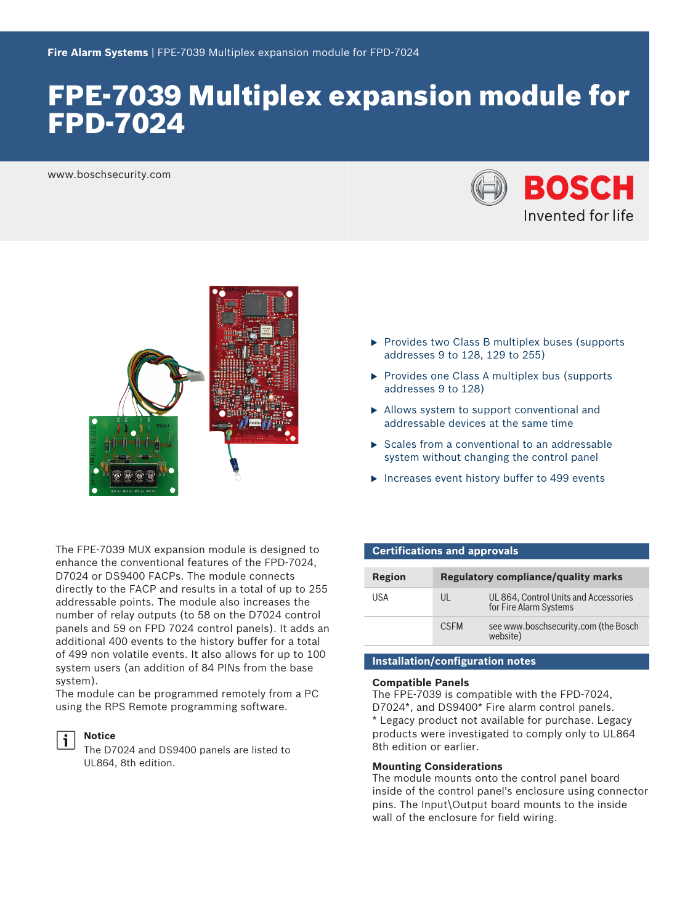# FPE-7039 Multiplex expansion module for FPD-7024

www.boschsecurity.com





- $\triangleright$  Provides two Class B multiplex buses (supports addresses 9 to 128, 129 to 255)
- $\triangleright$  Provides one Class A multiplex bus (supports addresses 9 to 128)
- $\blacktriangleright$  Allows system to support conventional and addressable devices at the same time
- $\triangleright$  Scales from a conventional to an addressable system without changing the control panel
- $\blacktriangleright$  Increases event history buffer to 499 events

The FPE‑7039 MUX expansion module is designed to enhance the conventional features of the FPD‑7024, D7024 or DS9400 FACPs. The module connects directly to the FACP and results in a total of up to 255 addressable points. The module also increases the number of relay outputs (to 58 on the D7024 control panels and 59 on FPD 7024 control panels). It adds an additional 400 events to the history buffer for a total of 499 non volatile events. It also allows for up to 100 system users (an addition of 84 PINs from the base system).

The module can be programmed remotely from a PC using the RPS Remote programming software.

#### **Notice**

The D7024 and DS9400 panels are listed to UL864, 8th edition.

#### **Certifications and approvals**

| Region | <b>Regulatory compliance/quality marks</b> |                                                                 |
|--------|--------------------------------------------|-----------------------------------------------------------------|
| USA    | $\mathsf{U}$                               | UL 864, Control Units and Accessories<br>for Fire Alarm Systems |
|        | <b>CSFM</b>                                | see www.boschsecurity.com (the Bosch<br>website)                |

### **Installation/configuration notes**

#### **Compatible Panels**

The FPE‑7039 is compatible with the FPD-7024, D7024\*, and DS9400\* Fire alarm control panels. \* Legacy product not available for purchase. Legacy products were investigated to comply only to UL864 8th edition or earlier.

#### **Mounting Considerations**

The module mounts onto the control panel board inside of the control panel's enclosure using connector pins. The Input\Output board mounts to the inside wall of the enclosure for field wiring.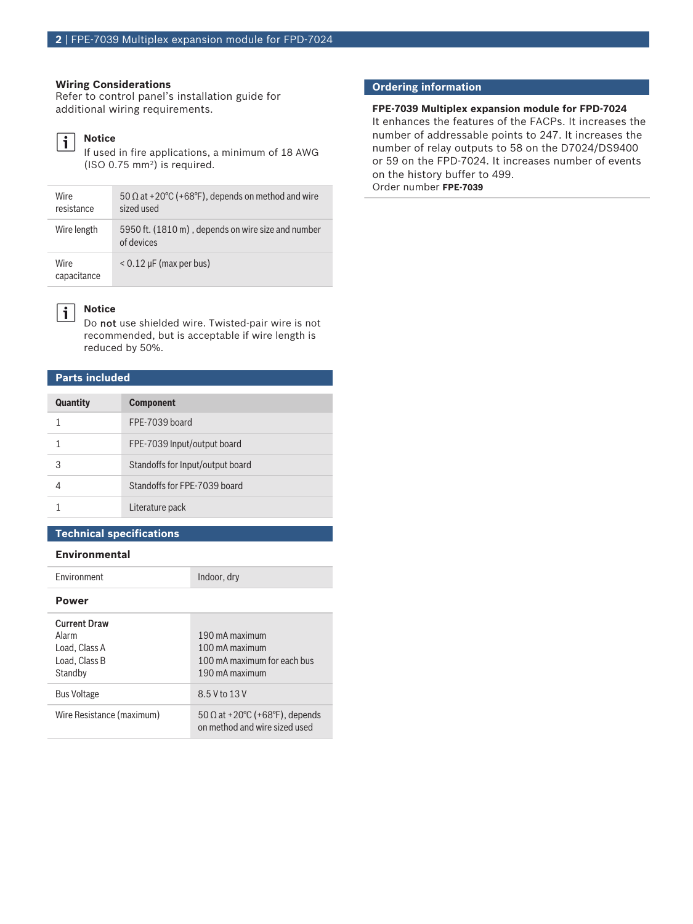#### **Wiring Considerations**

Refer to control panel's installation guide for additional wiring requirements.

#### **Notice** l i

If used in fire applications, a minimum of 18 AWG (ISO 0.75 mm<sup>2</sup> ) is required.

| <b>Wire</b><br>resistance | 50 $\Omega$ at +20°C (+68°F), depends on method and wire<br>sized used |
|---------------------------|------------------------------------------------------------------------|
| Wire length               | 5950 ft. (1810 m), depends on wire size and number<br>of devices       |
| Wire<br>capacitance       | $< 0.12 \mu$ F (max per bus)                                           |



#### **Notice**

Do not use shielded wire. Twisted-pair wire is not recommended, but is acceptable if wire length is reduced by 50%.

### **Parts included**

| <b>Quantity</b> | <b>Component</b>                 |
|-----------------|----------------------------------|
|                 | FPE-7039 board                   |
|                 | FPE-7039 Input/output board      |
| З               | Standoffs for Input/output board |
|                 | Standoffs for FPF-7039 board     |
|                 | Literature pack                  |

#### **Technical specifications**

#### **Environmental**

Environment Indoor, dry

**Power**

## Current Draw

| Alarm<br>Load, Class A<br>Load, Class B<br>Standby | 190 mA maximum<br>100 mA maximum<br>100 mA maximum for each bus<br>190 mA maximum |
|----------------------------------------------------|-----------------------------------------------------------------------------------|
| <b>Bus Voltage</b>                                 | 8.5 V to 13 V                                                                     |
| Wire Resistance (maximum)                          | $50 \Omega$ at +20°C (+68°F), depends<br>on method and wire sized used            |

### **Ordering information**

#### **FPE-7039 Multiplex expansion module for FPD-7024** It enhances the features of the FACPs. It increases the number of addressable points to 247. It increases the number of relay outputs to 58 on the D7024/DS9400 or 59 on the FPD‑7024. It increases number of events on the history buffer to 499. Order number **FPE-7039**